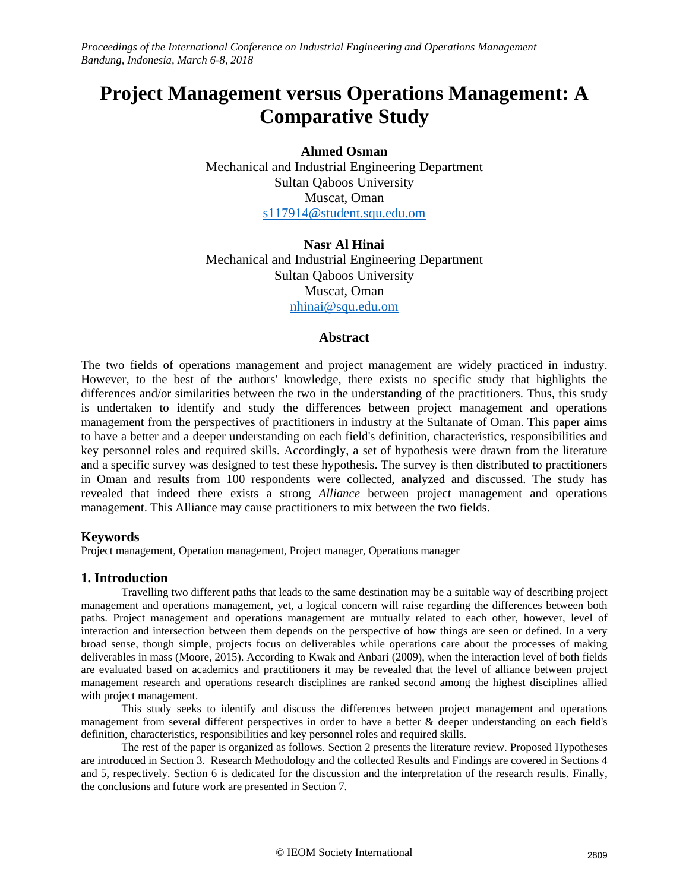# **Project Management versus Operations Management: A Comparative Study**

**Ahmed Osman**  Mechanical and Industrial Engineering Department Sultan Qaboos University Muscat, Oman [s117914@student.squ.edu.om](mailto:s117914@student.squ.edu.om)

**Nasr Al Hinai** Mechanical and Industrial Engineering Department Sultan Qaboos University Muscat, Oman [nhinai@squ.edu.om](mailto:nhinai@squ.edu.om)

# **Abstract**

The two fields of operations management and project management are widely practiced in industry. However, to the best of the authors' knowledge, there exists no specific study that highlights the differences and/or similarities between the two in the understanding of the practitioners. Thus, this study is undertaken to identify and study the differences between project management and operations management from the perspectives of practitioners in industry at the Sultanate of Oman. This paper aims to have a better and a deeper understanding on each field's definition, characteristics, responsibilities and key personnel roles and required skills. Accordingly, a set of hypothesis were drawn from the literature and a specific survey was designed to test these hypothesis. The survey is then distributed to practitioners in Oman and results from 100 respondents were collected, analyzed and discussed. The study has revealed that indeed there exists a strong *Alliance* between project management and operations management. This Alliance may cause practitioners to mix between the two fields.

# **Keywords**

Project management, Operation management, Project manager, Operations manager

# **1. Introduction**

Travelling two different paths that leads to the same destination may be a suitable way of describing project management and operations management, yet, a logical concern will raise regarding the differences between both paths. Project management and operations management are mutually related to each other, however, level of interaction and intersection between them depends on the perspective of how things are seen or defined. In a very broad sense, though simple, projects focus on deliverables while operations care about the processes of making deliverables in mass (Moore, 2015). According to Kwak and Anbari (2009), when the interaction level of both fields are evaluated based on academics and practitioners it may be revealed that the level of alliance between project management research and operations research disciplines are ranked second among the highest disciplines allied with project management.

This study seeks to identify and discuss the differences between project management and operations management from several different perspectives in order to have a better & deeper understanding on each field's definition, characteristics, responsibilities and key personnel roles and required skills.

The rest of the paper is organized as follows. Section 2 presents the literature review. Proposed Hypotheses are introduced in Section 3. Research Methodology and the collected Results and Findings are covered in Sections 4 and 5, respectively. Section 6 is dedicated for the discussion and the interpretation of the research results. Finally, the conclusions and future work are presented in Section 7.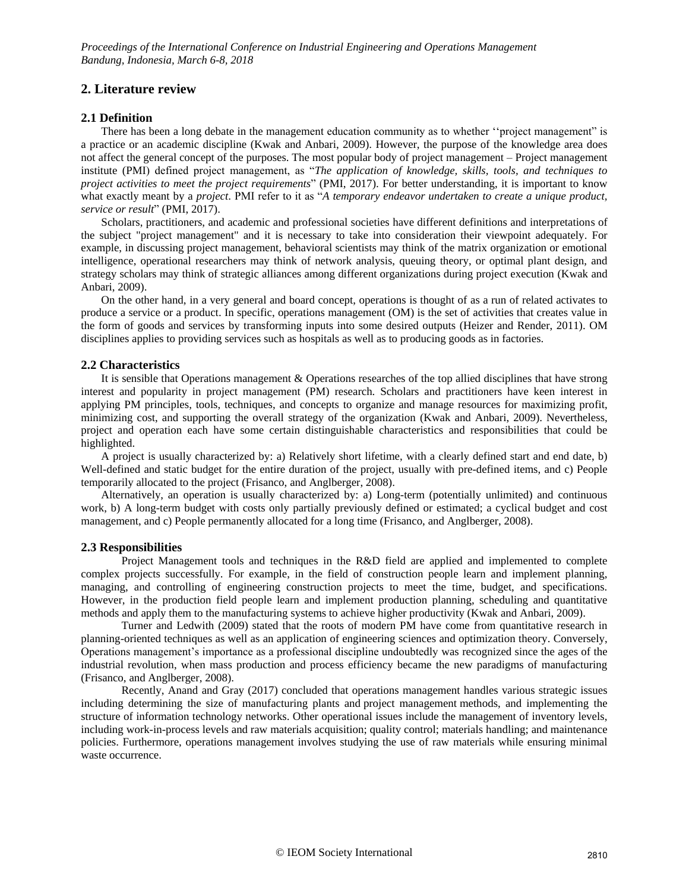# **2. Literature review**

## **2.1 Definition**

There has been a long debate in the management education community as to whether ''project management" is a practice or an academic discipline (Kwak and Anbari, 2009). However, the purpose of the knowledge area does not affect the general concept of the purposes. The most popular body of project management – Project management institute (PMI) defined project management, as "*The application of knowledge, skills, tools, and techniques to project activities to meet the project requirements*" (PMI, 2017). For better understanding, it is important to know what exactly meant by a *project*. PMI refer to it as "A *temporary endeavor undertaken to create a unique product*, *service or result*" (PMI, 2017).

Scholars, practitioners, and academic and professional societies have different definitions and interpretations of the subject "project management" and it is necessary to take into consideration their viewpoint adequately. For example, in discussing project management, behavioral scientists may think of the matrix organization or emotional intelligence, operational researchers may think of network analysis, queuing theory, or optimal plant design, and strategy scholars may think of strategic alliances among different organizations during project execution (Kwak and Anbari, 2009).

On the other hand, in a very general and board concept, operations is thought of as a run of related activates to produce a service or a product. In specific, operations management (OM) is the set of activities that creates value in the form of goods and services by transforming inputs into some desired outputs (Heizer and Render, 2011). OM disciplines applies to providing services such as hospitals as well as to producing goods as in factories.

## **2.2 Characteristics**

It is sensible that Operations management & Operations researches of the top allied disciplines that have strong interest and popularity in project management (PM) research. Scholars and practitioners have keen interest in applying PM principles, tools, techniques, and concepts to organize and manage resources for maximizing profit, minimizing cost, and supporting the overall strategy of the organization (Kwak and Anbari, 2009). Nevertheless, project and operation each have some certain distinguishable characteristics and responsibilities that could be highlighted.

A project is usually characterized by: a) Relatively short lifetime, with a clearly defined start and end date, b) Well-defined and static budget for the entire duration of the project, usually with pre-defined items, and c) People temporarily allocated to the project (Frisanco, and Anglberger, 2008).

Alternatively, an operation is usually characterized by: a) Long-term (potentially unlimited) and continuous work, b) A long-term budget with costs only partially previously defined or estimated; a cyclical budget and cost management, and c) People permanently allocated for a long time (Frisanco, and Anglberger, 2008).

#### **2.3 Responsibilities**

Project Management tools and techniques in the R&D field are applied and implemented to complete complex projects successfully. For example, in the field of construction people learn and implement planning, managing, and controlling of engineering construction projects to meet the time, budget, and specifications. However, in the production field people learn and implement production planning, scheduling and quantitative methods and apply them to the manufacturing systems to achieve higher productivity (Kwak and Anbari, 2009).

Turner and Ledwith (2009) stated that the roots of modern PM have come from quantitative research in planning-oriented techniques as well as an application of engineering sciences and optimization theory. Conversely, Operations management's importance as a professional discipline undoubtedly was recognized since the ages of the industrial revolution, when mass production and process efficiency became the new paradigms of manufacturing (Frisanco, and Anglberger, 2008).

Recently, Anand and Gray (2017) concluded that operations management handles various strategic issues including determining the size of manufacturing plants and [project management](http://www.investopedia.com/terms/p/project-management.asp) methods, and implementing the structure of information technology networks. Other operational issues include the management of inventory levels, including work-in-process levels and [raw materials](http://www.investopedia.com/terms/r/rawmaterials.asp) acquisition; [quality control;](http://www.investopedia.com/terms/q/quality-control.asp) materials handling; and maintenance policies. Furthermore, operations management involves studying the use of raw materials while ensuring minimal waste occurrence.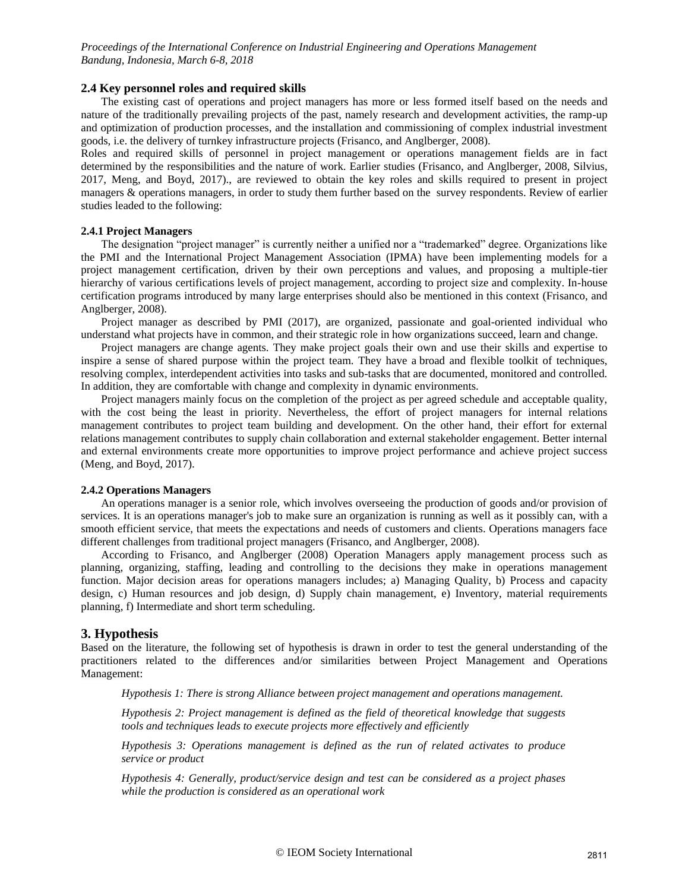## **2.4 Key personnel roles and required skills**

The existing cast of operations and project managers has more or less formed itself based on the needs and nature of the traditionally prevailing projects of the past, namely research and development activities, the ramp-up and optimization of production processes, and the installation and commissioning of complex industrial investment goods, i.e. the delivery of turnkey infrastructure projects (Frisanco, and Anglberger, 2008).

Roles and required skills of personnel in project management or operations management fields are in fact determined by the responsibilities and the nature of work. Earlier studies (Frisanco, and Anglberger, 2008, Silvius, 2017, Meng, and Boyd, 2017)., are reviewed to obtain the key roles and skills required to present in project managers & operations managers, in order to study them further based on the survey respondents. Review of earlier studies leaded to the following:

## **2.4.1 Project Managers**

The designation "project manager" is currently neither a unified nor a "trademarked" degree. Organizations like the PMI and the International Project Management Association (IPMA) have been implementing models for a project management certification, driven by their own perceptions and values, and proposing a multiple-tier hierarchy of various certifications levels of project management, according to project size and complexity. In-house certification programs introduced by many large enterprises should also be mentioned in this context (Frisanco, and Anglberger, 2008).

Project manager as described by PMI (2017), are organized, passionate and goal-oriented individual who understand what projects have in common, and their strategic role in how organizations succeed, learn and change.

Project managers are change agents. They make project goals their own and use their skills and expertise to inspire a sense of shared purpose within the project team. They have a broad and flexible toolkit of techniques, resolving complex, interdependent activities into tasks and sub-tasks that are documented, monitored and controlled. In addition, they are comfortable with change and complexity in dynamic environments.

Project managers mainly focus on the completion of the project as per agreed schedule and acceptable quality, with the cost being the least in priority. Nevertheless, the effort of project managers for internal relations management contributes to project team building and development. On the other hand, their effort for external relations management contributes to supply chain collaboration and external stakeholder engagement. Better internal and external environments create more opportunities to improve project performance and achieve project success (Meng, and Boyd, 2017).

#### **2.4.2 Operations Managers**

An operations manager is a senior role, which involves overseeing the production of goods and/or provision of services. It is an operations manager's job to make sure an organization is running as well as it possibly can, with a smooth efficient service, that meets the expectations and needs of customers and clients. Operations managers face different challenges from traditional project managers (Frisanco, and Anglberger, 2008).

According to Frisanco, and Anglberger (2008) Operation Managers apply management process such as planning, organizing, staffing, leading and controlling to the decisions they make in operations management function. Major decision areas for operations managers includes; a) Managing Quality, b) Process and capacity design, c) Human resources and job design, d) Supply chain management, e) Inventory, material requirements planning, f) Intermediate and short term scheduling.

# **3. Hypothesis**

Based on the literature, the following set of hypothesis is drawn in order to test the general understanding of the practitioners related to the differences and/or similarities between Project Management and Operations Management:

*Hypothesis 1: There is strong Alliance between project management and operations management.*

*Hypothesis 2: Project management is defined as the field of theoretical knowledge that suggests tools and techniques leads to execute projects more effectively and efficiently*

*Hypothesis 3: Operations management is defined as the run of related activates to produce service or product*

*Hypothesis 4: Generally, product/service design and test can be considered as a project phases while the production is considered as an operational work*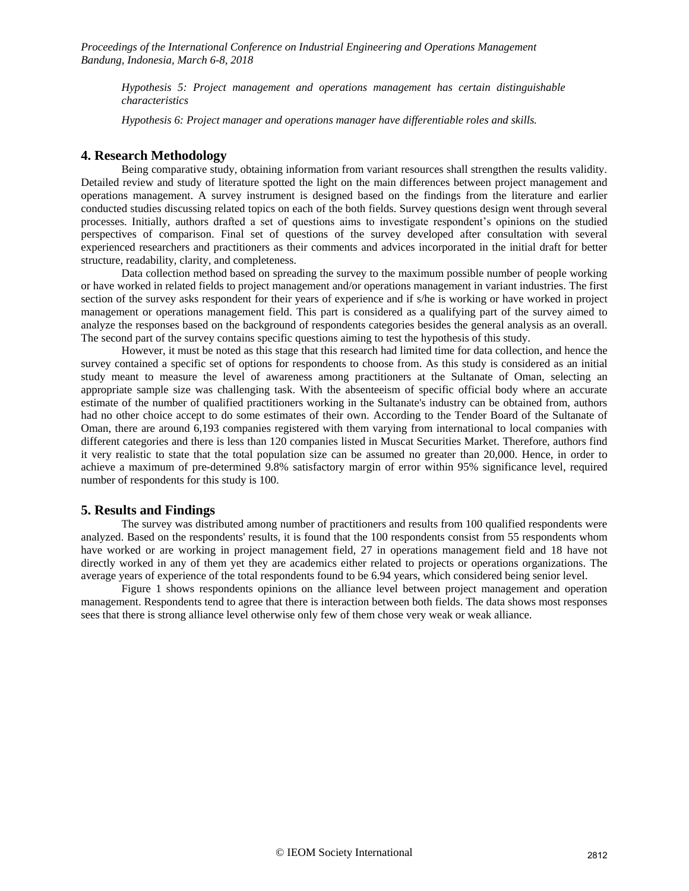*Hypothesis 5: Project management and operations management has certain distinguishable characteristics*

*Hypothesis 6: Project manager and operations manager have differentiable roles and skills.*

# **4. Research Methodology**

Being comparative study, obtaining information from variant resources shall strengthen the results validity. Detailed review and study of literature spotted the light on the main differences between project management and operations management. A survey instrument is designed based on the findings from the literature and earlier conducted studies discussing related topics on each of the both fields. Survey questions design went through several processes. Initially, authors drafted a set of questions aims to investigate respondent's opinions on the studied perspectives of comparison. Final set of questions of the survey developed after consultation with several experienced researchers and practitioners as their comments and advices incorporated in the initial draft for better structure, readability, clarity, and completeness.

Data collection method based on spreading the survey to the maximum possible number of people working or have worked in related fields to project management and/or operations management in variant industries. The first section of the survey asks respondent for their years of experience and if s/he is working or have worked in project management or operations management field. This part is considered as a qualifying part of the survey aimed to analyze the responses based on the background of respondents categories besides the general analysis as an overall. The second part of the survey contains specific questions aiming to test the hypothesis of this study.

However, it must be noted as this stage that this research had limited time for data collection, and hence the survey contained a specific set of options for respondents to choose from. As this study is considered as an initial study meant to measure the level of awareness among practitioners at the Sultanate of Oman, selecting an appropriate sample size was challenging task. With the absenteeism of specific official body where an accurate estimate of the number of qualified practitioners working in the Sultanate's industry can be obtained from, authors had no other choice accept to do some estimates of their own. According to the Tender Board of the Sultanate of Oman, there are around 6,193 companies registered with them varying from international to local companies with different categories and there is less than 120 companies listed in Muscat Securities Market. Therefore, authors find it very realistic to state that the total population size can be assumed no greater than 20,000. Hence, in order to achieve a maximum of pre-determined 9.8% satisfactory margin of error within 95% significance level, required number of respondents for this study is 100.

#### **5. Results and Findings**

The survey was distributed among number of practitioners and results from 100 qualified respondents were analyzed. Based on the respondents' results, it is found that the 100 respondents consist from 55 respondents whom have worked or are working in project management field, 27 in operations management field and 18 have not directly worked in any of them yet they are academics either related to projects or operations organizations. The average years of experience of the total respondents found to be 6.94 years, which considered being senior level.

Figure 1 shows respondents opinions on the alliance level between project management and operation management. Respondents tend to agree that there is interaction between both fields. The data shows most responses sees that there is strong alliance level otherwise only few of them chose very weak or weak alliance.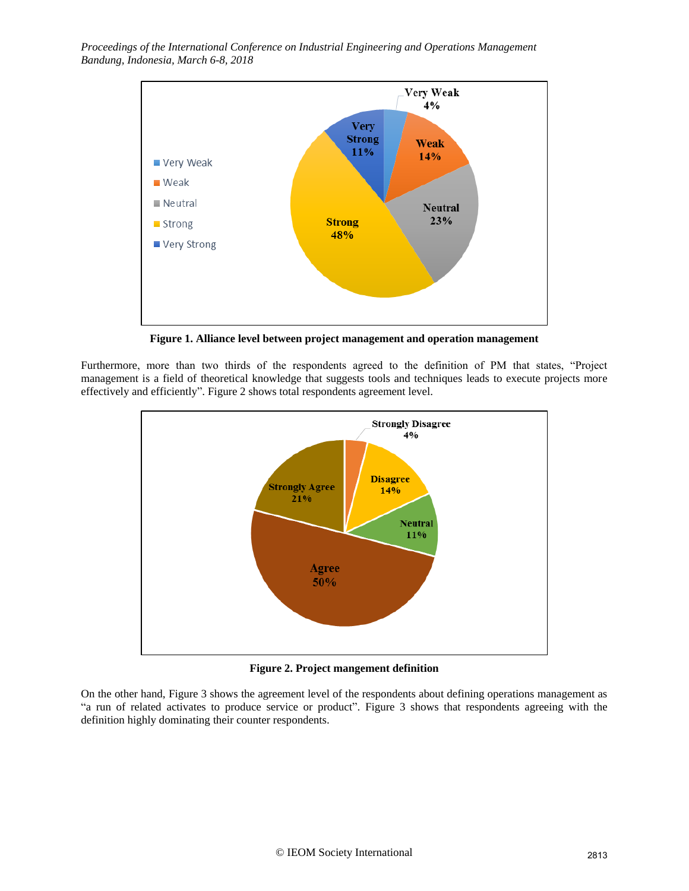

**Figure 1. Alliance level between project management and operation management**

Furthermore, more than two thirds of the respondents agreed to the definition of PM that states, "Project management is a field of theoretical knowledge that suggests tools and techniques leads to execute projects more effectively and efficiently". Figure 2 shows total respondents agreement level.



**Figure 2. Project mangement definition**

On the other hand, Figure 3 shows the agreement level of the respondents about defining operations management as "a run of related activates to produce service or product". Figure 3 shows that respondents agreeing with the definition highly dominating their counter respondents.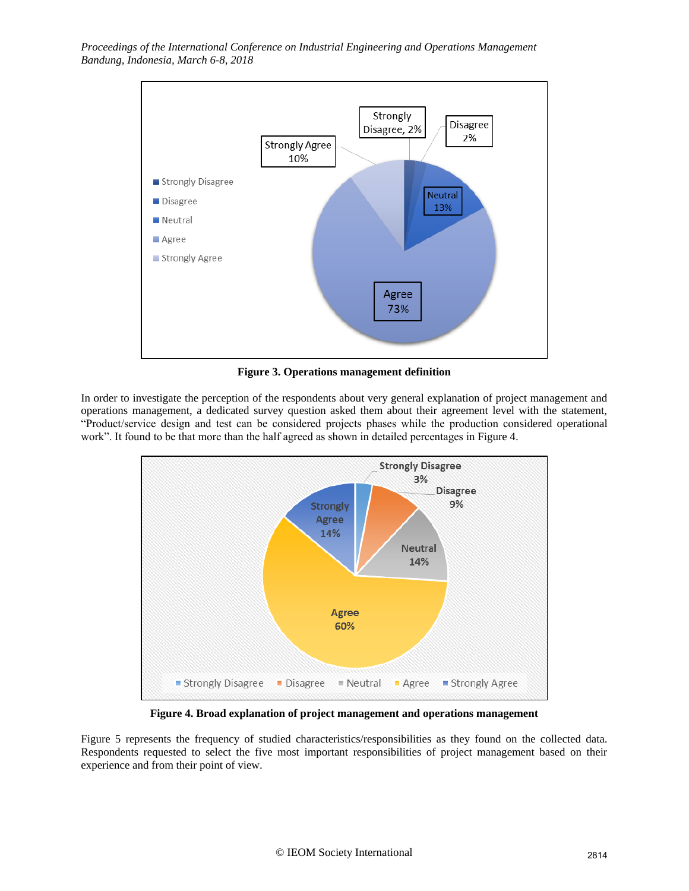

**Figure 3. Operations management definition**

In order to investigate the perception of the respondents about very general explanation of project management and operations management, a dedicated survey question asked them about their agreement level with the statement, "Product/service design and test can be considered projects phases while the production considered operational work". It found to be that more than the half agreed as shown in detailed percentages in Figure 4.



**Figure 4. Broad explanation of project management and operations management** 

Figure 5 represents the frequency of studied characteristics/responsibilities as they found on the collected data. Respondents requested to select the five most important responsibilities of project management based on their experience and from their point of view.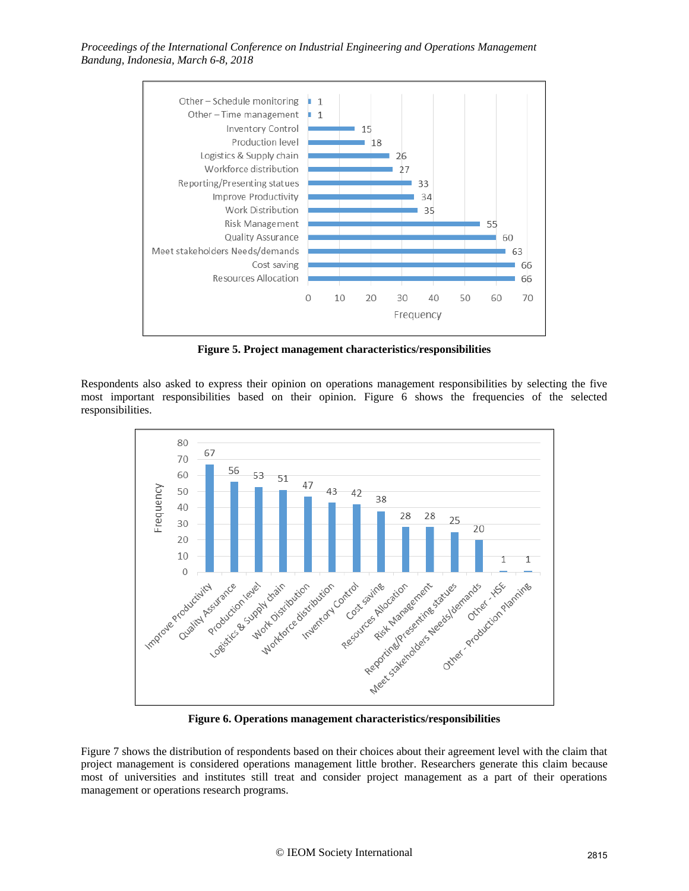

**Figure 5. Project management characteristics/responsibilities** 

Respondents also asked to express their opinion on operations management responsibilities by selecting the five most important responsibilities based on their opinion. Figure 6 shows the frequencies of the selected responsibilities.



**Figure 6. Operations management characteristics/responsibilities**

Figure 7 shows the distribution of respondents based on their choices about their agreement level with the claim that project management is considered operations management little brother. Researchers generate this claim because most of universities and institutes still treat and consider project management as a part of their operations management or operations research programs.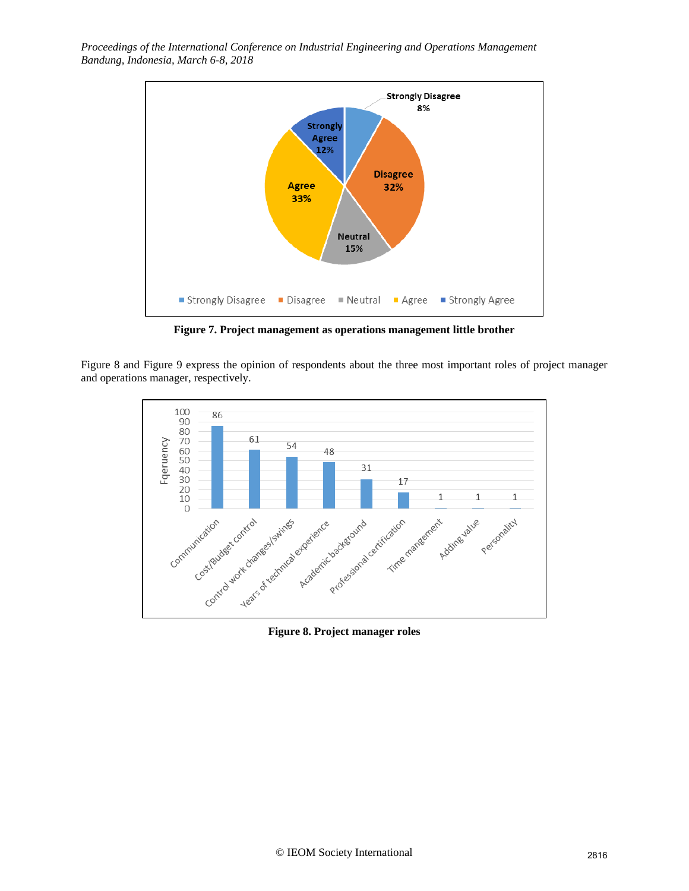

**Figure 7. Project management as operations management little brother**

Figure 8 and Figure 9 express the opinion of respondents about the three most important roles of project manager and operations manager, respectively.



**Figure 8. Project manager roles**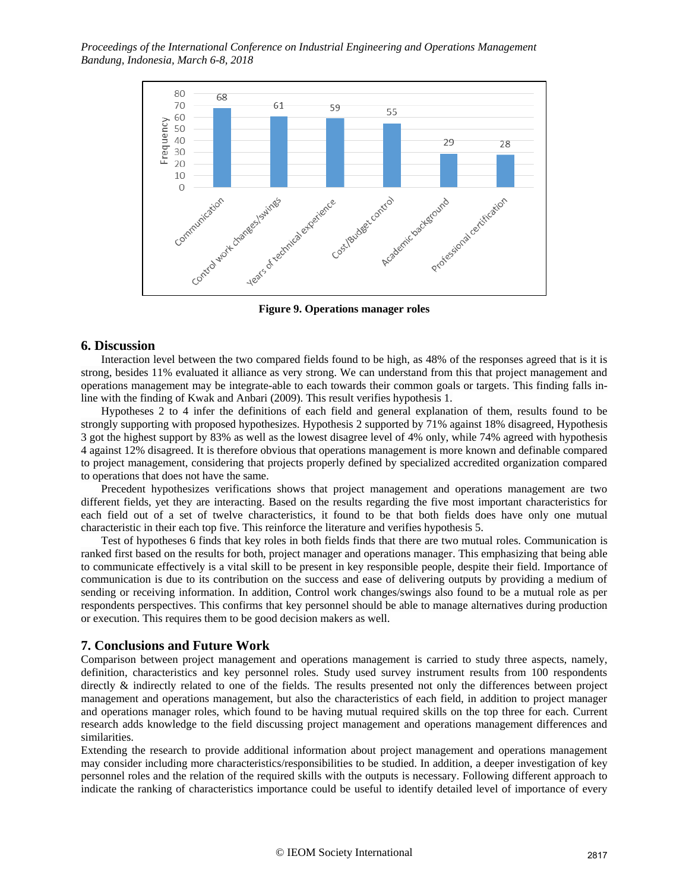

**Figure 9. Operations manager roles**

# **6. Discussion**

Interaction level between the two compared fields found to be high, as 48% of the responses agreed that is it is strong, besides 11% evaluated it alliance as very strong. We can understand from this that project management and operations management may be integrate-able to each towards their common goals or targets. This finding falls inline with the finding of Kwak and Anbari (2009). This result verifies hypothesis 1.

Hypotheses 2 to 4 infer the definitions of each field and general explanation of them, results found to be strongly supporting with proposed hypothesizes. Hypothesis 2 supported by 71% against 18% disagreed, Hypothesis 3 got the highest support by 83% as well as the lowest disagree level of 4% only, while 74% agreed with hypothesis 4 against 12% disagreed. It is therefore obvious that operations management is more known and definable compared to project management, considering that projects properly defined by specialized accredited organization compared to operations that does not have the same.

Precedent hypothesizes verifications shows that project management and operations management are two different fields, yet they are interacting. Based on the results regarding the five most important characteristics for each field out of a set of twelve characteristics, it found to be that both fields does have only one mutual characteristic in their each top five. This reinforce the literature and verifies hypothesis 5.

Test of hypotheses 6 finds that key roles in both fields finds that there are two mutual roles. Communication is ranked first based on the results for both, project manager and operations manager. This emphasizing that being able to communicate effectively is a vital skill to be present in key responsible people, despite their field. Importance of communication is due to its contribution on the success and ease of delivering outputs by providing a medium of sending or receiving information. In addition, Control work changes/swings also found to be a mutual role as per respondents perspectives. This confirms that key personnel should be able to manage alternatives during production or execution. This requires them to be good decision makers as well.

#### **7. Conclusions and Future Work**

Comparison between project management and operations management is carried to study three aspects, namely, definition, characteristics and key personnel roles. Study used survey instrument results from 100 respondents directly & indirectly related to one of the fields. The results presented not only the differences between project management and operations management, but also the characteristics of each field, in addition to project manager and operations manager roles, which found to be having mutual required skills on the top three for each. Current research adds knowledge to the field discussing project management and operations management differences and similarities.

Extending the research to provide additional information about project management and operations management may consider including more characteristics/responsibilities to be studied. In addition, a deeper investigation of key personnel roles and the relation of the required skills with the outputs is necessary. Following different approach to indicate the ranking of characteristics importance could be useful to identify detailed level of importance of every